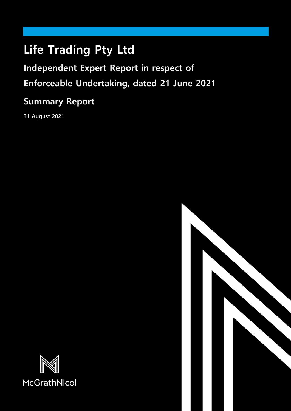# **Life Trading Pty Ltd**

**Independent Expert Report in respect of Enforceable Undertaking, dated 21 June 2021**

## **Summary Report**

**31 August 2021**



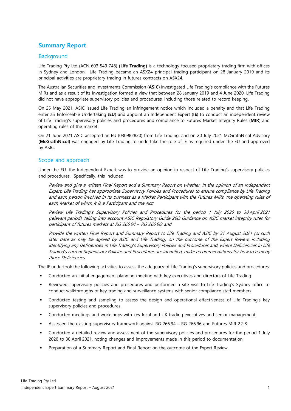### **Summary Report**

#### Background

Life Trading Pty Ltd (ACN 603 549 748) **(Life Trading)** is a technology-focused proprietary trading firm with offices in Sydney and London. Life Trading became an ASX24 principal trading participant on 28 January 2019 and its principal activities are proprietary trading in futures contracts on ASX24.

The Australian Securities and Investments Commission (**ASIC**) investigated Life Trading's compliance with the Futures MIRs and as a result of its investigation formed a view that between 28 January 2019 and 4 June 2020, Life Trading did not have appropriate supervisory policies and procedures, including those related to record keeping.

On 25 May 2021, ASIC issued Life Trading an infringement notice which included a penalty and that Life Trading enter an Enforceable Undertaking (**EU**) and appoint an Independent Expert (**IE**) to conduct an independent review of Life Trading's supervisory policies and procedures and compliance to Futures Market Integrity Rules (**MIR**) and operating rules of the market.

On 21 June 2021 ASIC accepted an EU (030982820) from Life Trading, and on 20 July 2021 McGrathNicol Advisory **(McGrathNicol)** was engaged by Life Trading to undertake the role of IE as required under the EU and approved by ASIC.

#### Scope and approach

Under the EU, the Independent Expert was to provide an opinion in respect of Life Trading's supervisory policies and procedures. Specifically, this included:

Review and give a written Final Report and a Summary Report on whether, in the opinion of an Independent Expert, Life Trading has appropriate Supervisory Policies and Procedures to ensure compliance by Life Trading and each person involved in its business as a Market Participant with the Futures MIRs, the operating rules of each Market of which it is a Participant and the Act;

Review Life Trading*'*s Supervisory Policies and Procedures for the period 1 July 2020 to 30 April 2021 (relevant period), taking into account ASIC Regulatory Guide 266: Guidance on ASIC market integrity rules for participant of futures markets at RG 266.94 *–* RG 266.96; and

Provide the written Final Report and Summary Report to Life Trading and ASIC by 31 August 2021 (or such later date as may be agreed by ASIC and Life Trading) on the outcome of the Expert Review, including identifying any Deficiencies in Life Trading*'*s Supervisory Policies and Procedures and, where Deficiencies in Life Trading*'*s current Supervisory Policies and Procedures are identified, make recommendations for how to remedy those Deficiencies.

The IE undertook the following activities to assess the adequacy of Life Trading's supervisory policies and procedures:

- Conducted an initial engagement planning meeting with key executives and directors of Life Trading.
- Reviewed supervisory policies and procedures and performed a site visit to Life Trading's Sydney office to conduct walkthroughs of key trading and surveillance systems with senior compliance staff members.
- Conducted testing and sampling to assess the design and operational effectiveness of Life Trading's key supervisory policies and procedures.
- Conducted meetings and workshops with key local and UK trading executives and senior management.
- Assessed the existing supervisory framework against RG 266.94 RG 266.96 and Futures MIR 2.2.8.
- Conducted a detailed review and assessment of the supervisory policies and procedures for the period 1 July 2020 to 30 April 2021, noting changes and improvements made in this period to documentation.
- Preparation of a Summary Report and Final Report on the outcome of the Expert Review.